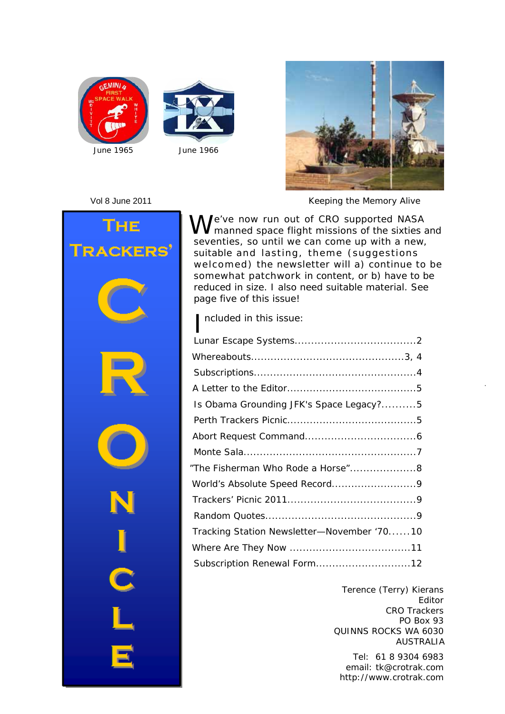





Vol 8 June 2011 *Keeping the Memory Alive*





We've now run out of CRO supported NASA<br>W<br/>manned space flight missions of the sixties and seventies, so until we can come up with a new, suitable and lasting, theme (suggestions welcomed) the newsletter will a) continue to be somewhat patchwork in content, or b) have to be reduced in size. I also need suitable material. See page five of this issue!

I ncluded in this issue:

| Is Obama Grounding JFK's Space Legacy?5    |  |
|--------------------------------------------|--|
|                                            |  |
|                                            |  |
|                                            |  |
| "The Fisherman Who Rode a Horse"8          |  |
|                                            |  |
|                                            |  |
|                                            |  |
| Tracking Station Newsletter-November '7010 |  |
|                                            |  |
|                                            |  |

Terence (Terry) Kierans Editor CRO Trackers PO Box 93 QUINNS ROCKS WA 6030 AUSTRALIA

Tel: 61 8 9304 6983 http://www.crotrak.com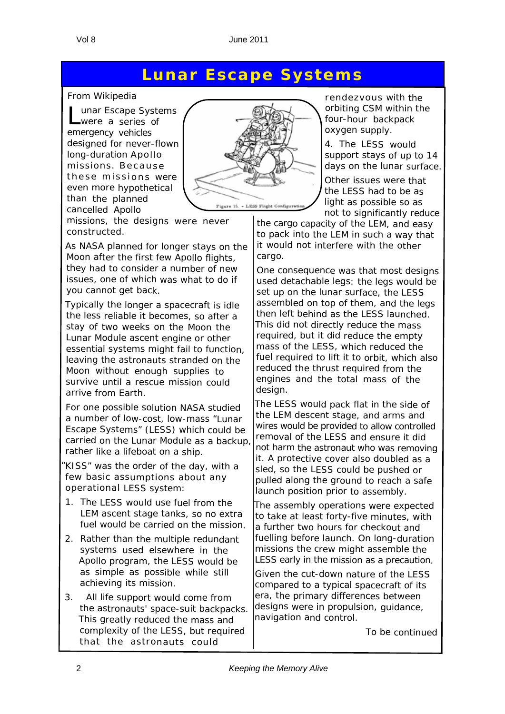#### **Lunar Escape Systems**

#### *From Wikipedia*

Lunar Escape Systems were a series of emergency vehicles designed for never-flown long-duration Apollo missions. Because these missions were even more hypothetical than the planned cancelled Apollo



missions, the designs were never constructed.

As NASA planned for longer stays on the Moon after the first few Apollo flights, they had to consider <sup>a</sup> number of new issues, one of which was what to do if you cannot get back.

Typically the longer <sup>a</sup> spacecraft is idle the less reliable it becomes, so after <sup>a</sup> stay of two weeks on the Moon the Lunar Module ascent engine or other essential systems might fail to function, leaving the astronauts stranded on the Moon without enough supplies to survive until <sup>a</sup> rescue mission could arrive from Earth.

For one possible solution NASA studied <sup>a</sup> number of low-cost, low-mass "*Lunar Escape Systems*" (LESS) which could be carried on the Lunar Module as <sup>a</sup> backup, rather like <sup>a</sup> lifeboat on <sup>a</sup> ship.

"*KISS*" was the order of the day, with <sup>a</sup> few basic assumptions about any operational LESS system:

- 1. The LESS would use fuel from the LEM ascent stage tanks, so no extra fuel would be carried on the mission.
- 2. Rather than the multiple redundant systems used elsewhere in the Apollo program, the LESS would be as simple as possible while still achieving its mission.
- 3. All life support would come from the astronauts' space-suit backpacks. This greatly reduced the mass and complexity of the LESS, but required that the astronauts could

rendezvous with the orbiting CSM within the four-hour backpack oxygen supply.

4. The LESS would support stays of up to 14 days on the lunar surface.

Other issues were that the LESS had to be as light as possible so as not to significantly reduce

the cargo capacity of the LEM, and easy to pack into the LEM in such <sup>a</sup> way that it would not interfere with the other cargo.

One consequence was that most designs used detachable legs: the legs would be set up on the lunar surface, the LESS assembled on top of them, and the legs then left behind as the LESS launched. This did not directly reduce the mass required, but it did reduce the empty mass of the LESS, which reduced the fuel required to lift it to orbit, which also reduced the thrust required from the engines and the total mass of the design.

The LESS would pack flat in the side of the LEM descent stage, and arms and wires would be provided to allow controlled removal of the LESS and ensure it did not harm the astronaut who was removing it. A protective cover also doubled as <sup>a</sup> sled, so the LESS could be pushed or pulled along the ground to reach <sup>a</sup> safe launch position prior to assembly.

The assembly operations were expected to take at least forty-five minutes, with a further two hours for checkout and fuelling before launch. On long-duration missions the crew might assemble the LESS early in the mission as <sup>a</sup> precaution.

Given the cut-down nature of the LESS compared to <sup>a</sup> typical spacecraft of its era, the primary differences between designs were in propulsion, guidance, navigation and control.

*To be continued*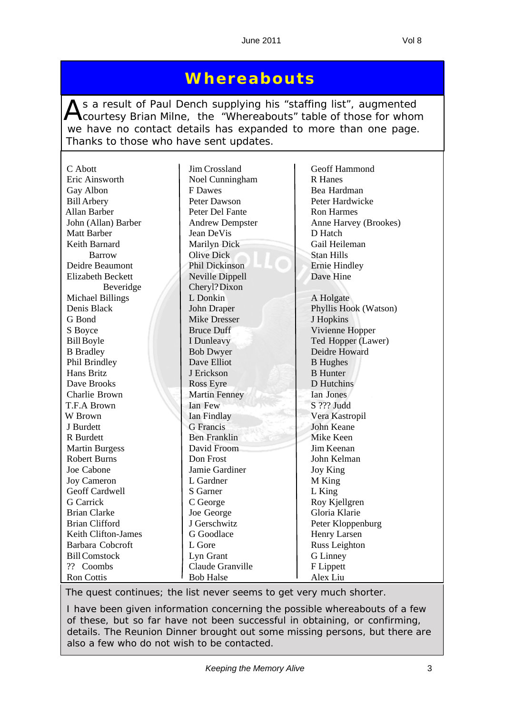#### **Whereabouts**

As a result of Paul Dench supplying his "staffing list", augmented<br>Courtesy Brian Milne, the "Whereabouts" table of those for whom we have no contact details has expanded to more than one page. Thanks to those who have sent updates.

| C Abott                  | Jim Crossland          | Geoff Hammond         |
|--------------------------|------------------------|-----------------------|
| Eric Ainsworth           | Noel Cunningham        | <b>R</b> Hanes        |
| Gay Albon                | F Dawes                | Bea Hardman           |
| <b>Bill Arbery</b>       | Peter Dawson           | Peter Hardwicke       |
| <b>Allan Barber</b>      | Peter Del Fante        | <b>Ron Harmes</b>     |
| John (Allan) Barber      | <b>Andrew Dempster</b> | Anne Harvey (Brookes) |
| <b>Matt Barber</b>       | Jean DeVis             | D Hatch               |
| Keith Barnard            | Marilyn Dick           | Gail Heileman         |
| <b>Barrow</b>            | <b>Olive Dick</b>      | <b>Stan Hills</b>     |
| Deidre Beaumont          | Phil Dickinson         | <b>Ernie Hindley</b>  |
| <b>Elizabeth Beckett</b> | Neville Dippell        | Dave Hine             |
| Beveridge                | Cheryl? Dixon          |                       |
| <b>Michael Billings</b>  | L Donkin               | A Holgate             |
| Denis Black              | John Draper            | Phyllis Hook (Watson) |
| G Bond                   | <b>Mike Dresser</b>    |                       |
|                          |                        | J Hopkins             |
| S Boyce                  | <b>Bruce Duff</b>      | Vivienne Hopper       |
| <b>Bill Boyle</b>        | I Dunleavy             | Ted Hopper (Lawer)    |
| <b>B</b> Bradley         | <b>Bob Dwyer</b>       | Deidre Howard         |
| Phil Brindley            | Dave Elliot            | <b>B</b> Hughes       |
| Hans Britz               | J Erickson             | <b>B</b> Hunter       |
| Dave Brooks              | <b>Ross Eyre</b>       | D Hutchins            |
| Charlie Brown            | <b>Martin Fenney</b>   | Ian Jones             |
| T.F.A Brown              | Ian Few                | S ??? Judd            |
| W Brown                  | Ian Findlay            | Vera Kastropil        |
| J Burdett                | <b>G</b> Francis       | <b>John Keane</b>     |
| R Burdett                | <b>Ben Franklin</b>    | Mike Keen             |
| <b>Martin Burgess</b>    | David Froom            | Jim Keenan            |
| <b>Robert Burns</b>      | Don Frost              | John Kelman           |
| Joe Cabone               | Jamie Gardiner         | Joy King              |
| <b>Joy Cameron</b>       | L Gardner              | M King                |
| Geoff Cardwell           | S Garner               | L King                |
| <b>G</b> Carrick         | C George               | Roy Kjellgren         |
| <b>Brian Clarke</b>      | Joe George             | Gloria Klarie         |
| <b>Brian Clifford</b>    | J Gerschwitz           | Peter Kloppenburg     |
| Keith Clifton-James      | G Goodlace             | Henry Larsen          |
| Barbara Cobcroft         | L Gore                 | Russ Leighton         |
| <b>Bill Comstock</b>     | Lyn Grant              | G Linney              |
| ?? Coombs                | Claude Granville       | F Lippett             |
| <b>Ron Cottis</b>        | <b>Bob Halse</b>       | Alex Liu              |

*The quest continues; the list never seems to get very much shorter.*

*I have been given information concerning the possible whereabouts of a few of these, but so far have not been successful in obtaining, or confirming, details. The Reunion Dinner brought out some missing persons, but there are also a few who do not wish to be contacted.*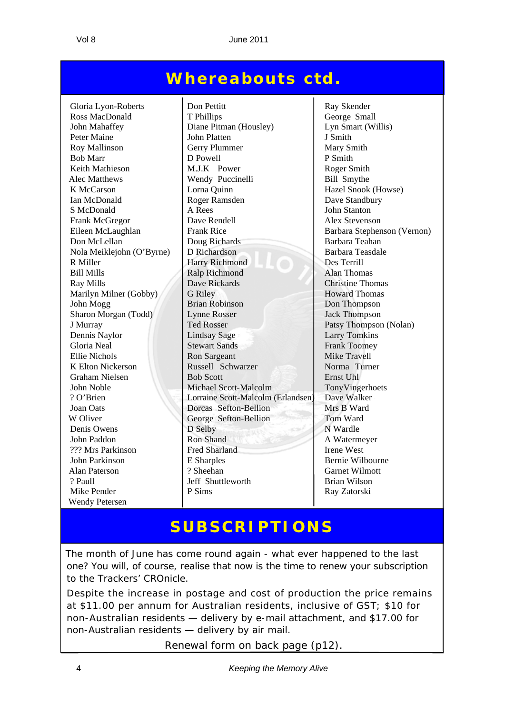#### **Whereabouts ctd.**

K Elton Nickerson Russell Schwarzer W Oliver George Sefton-Bellion Mike Pender P Sims Ray Zatorski Wendy Petersen

Gloria Lyon-Roberts Don Pettitt Ray Skender Ross MacDonald T Phillips George Small John Mahaffey Diane Pitman (Housley) Lyn Smart (Willis) Peter Maine John Platten J Smith Roy Mallinson Gerry Plummer Mary Smith Bob Marr D Powell P Smith Keith Mathieson M.J.K Power Roger Smith Alec Matthews Wendy Puccinelli Bill Smythe K McCarson | Lorna Quinn | Hazel Snook (Howse) Ian McDonald Roger Ramsden Dave Standbury S McDonald A Rees John Stanton Frank McGregor **Dave Rendell** Alex Stevenson Eileen McLaughlan Frank Rice Barbara Stephenson (Vernon) Don McLellan Doug Richards Barbara Teahan Nola Meiklejohn (O'Byrne) D Richardson Barbara Teasdale R Miller Harry Richmond Des Terrill Bill Mills Ralp Richmond Alan Thomas Ray Mills **Dave Rickards** Christine Thomas Marilyn Milner (Gobby) G Riley Howard Thomas John Mogg Brian Robinson Don Thompson Sharon Morgan (Todd) Lynne Rosser Jack Thompson J Murray **Ted Rosser Patsy Thompson (Nolan)** Dennis Naylor Lindsay Sage Larry Tomkins Gloria Neal Stewart Sands Frank Toomey Ellie Nichols<br>
K Elton Nickerson Russell Schwarzer Mike Travell<br>
Russell Schwarzer Norma Turner Graham Nielsen Bob Scott Ernst Uhl John Noble Michael Scott-Malcolm TonyVingerhoets ? O'Brien Lorraine Scott-Malcolm (Erlandsen) Dave Walker Joan Oats Dorcas Sefton-Bellion Mrs B Ward Denis Owens D Selby N Wardle John Paddon Ron Shand A Watermeyer <sup>222</sup> Mrs Parkinson **Fred Sharland** Irene West John Parkinson E Sharples Bernie Wilbourne Alan Paterson ? Sheehan Garnet Wilmott ? Paull Jeff Shuttleworth Brian Wilson

#### **SUBSCRIPTIONS**

The month of June has come round again - what ever happened to the last one? You will, of course, realise that now is the time to renew your subscription to the Trackers' CROnicle.

Despite the increase in postage and cost of production the price remains at \$11.00 per annum for Australian residents, inclusive of GST; \$10 for non-Australian residents — delivery by e-mail attachment, and \$17.00 for non-Australian residents — delivery by air mail.

Renewal form on back page (p12).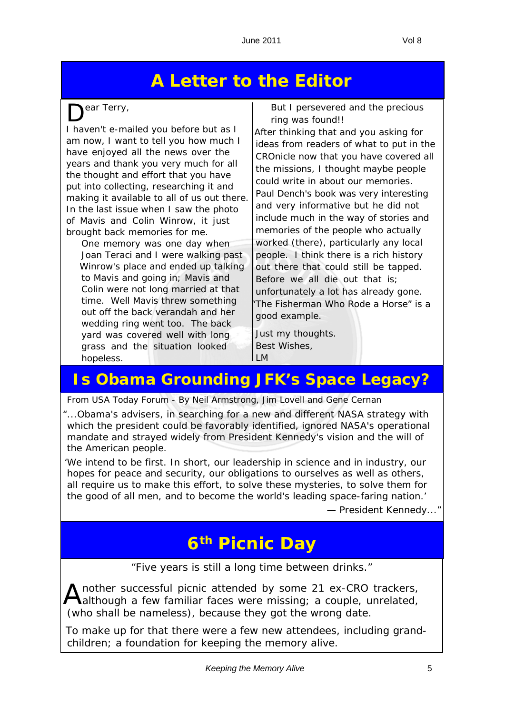#### **A Letter to the Editor**

ear Terry,

I haven't e-mailed you before but as I am now, I want to tell you how much I have enjoyed all the news over the years and thank you very much for all the thought and effort that you have put into collecting, researching it and making it available to all of us out there. In the last issue when I saw the photo of Mavis and Colin Winrow, it just brought back memories for me.

*One memory was one day when Joan Teraci and I were walking past Winrow's place and ended up talking to Mavis and going in; Mavis and Colin were not long married at that time. Well Mavis threw something out off the back verandah and her wedding ring went too. The back yard was covered well with long grass and the situation looked hopeless.*

*But I persevered and the precious ring was found!!*

After thinking that and you asking for ideas from readers of what to put in the CROnicle now that you have covered all the missions, I thought maybe people could write in about our memories. Paul Dench's book was very interesting and very informative but he did not include much in the way of stories and memories of the people who actually worked (there), particularly any local people. I think there is a rich history out there that could still be tapped. Before we all die out that is; unfortunately a lot has already gone. "*The Fisherman Who Rode a Horse*" is a good example.

Just my thoughts. Best Wishes,  $\mathsf{L}$ 

#### **Is Obama Grounding JFK's Space Legacy?**

*From USA Today Forum - By Neil Armstrong, Jim Lovell and Gene Cernan*

"...Obama's advisers, in searching for a new and different NASA strategy with which the president could be favorably identified, ignored NASA's operational mandate and strayed widely from President Kennedy's vision and the will of the American people.

'*We intend to be first. In short, our leadership in science and in industry, our hopes for peace and security, our obligations to ourselves as well as others, all require us to make this effort, to solve these mysteries, to solve them for the good of all men, and to become the world's leading space-faring nation.'*

— President Kennedy..."

#### **6th Picnic Day**

"*Five years is still a long time between drinks.*"

nother successful picnic attended by some 21 ex-CRO trackers, although a few familiar faces were missing; a couple, unrelated, (who shall be nameless), because they got the wrong date.

To make up for that there were a few new attendees, including grandchildren; a foundation for keeping the memory alive.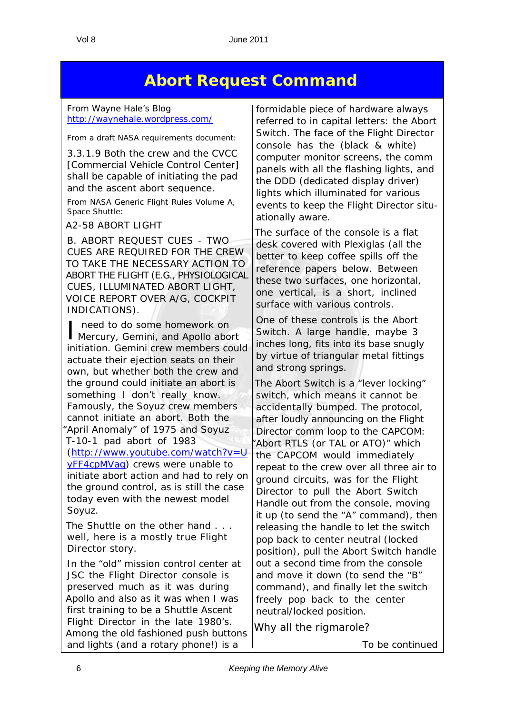#### **Abort Request Command**

*From Wayne Hale's Blog* http://waynehale.wordpress.com/

*From a draft NASA requirements document:*

3.3.1.9 Both the crew and the CVCC [Commercial Vehicle Control Center] shall be capable of initiating the pad and the ascent abort sequence.

*From NASA Generic Flight Rules Volume A, Space Shuttle:*

A2-58 ABORT LIGHT

B. ABORT REQUEST CUES - TWO CUES ARE REQUIRED FOR THE CREW TO TAKE THE NECESSARY ACTION TO ABORT THE FLIGHT (E.G., PHYSIOLOGICAL CUES, ILLUMINATED ABORT LIGHT, VOICE REPORT OVER A/G, COCKPIT INDICATIONS).

I need to do some homework on<br>Mercury, Gemini, and Apollo abort need to do some homework on initiation. Gemini crew members could actuate their ejection seats on their own, but whether both the crew and the ground could initiate an abort is something I don't really know. Famously, the Soyuz crew members cannot initiate an abort. Both the "April Anomaly" of 1975 and Soyuz T-10-1 pad abort of 1983 (http://www.youtube.com/watch?v=U yFF4cpMVag) crews were unable to initiate abort action and had to rely on the ground control, as is still the case today even with the newest model Soyuz.

The Shuttle on the other hand . . . well, here is a mostly true Flight Director story.

In the "old" mission control center at JSC the Flight Director console is preserved much as it was during Apollo and also as it was when I was first training to be a Shuttle Ascent Flight Director in the late 1980's. Among the old fashioned push buttons and lights (and a rotary phone!) is a

formidable piece of hardware always referred to in capital letters: the Abort Switch. The face of the Flight Director console has the (black & white) computer monitor screens, the comm panels with all the flashing lights, and the DDD (dedicated display driver) lights which illuminated for various events to keep the Flight Director situationally aware.

The surface of the console is a flat desk covered with Plexiglas (all the better to keep coffee spills off the reference papers below. Between these two surfaces, one horizontal, one vertical, is a short, inclined surface with various controls.

One of these controls is the Abort Switch. A large handle, maybe 3 inches long, fits into its base snugly by virtue of triangular metal fittings and strong springs.

The Abort Switch is a "lever locking" switch, which means it cannot be accidentally bumped. The protocol, after loudly announcing on the Flight Director comm loop to the CAPCOM: Abort RTLS (or TAL or ATO)" which the CAPCOM would immediately repeat to the crew over all three air to ground circuits, was for the Flight Director to pull the Abort Switch Handle out from the console, moving it up (to send the "A" command), then releasing the handle to let the switch pop back to center neutral (locked position), pull the Abort Switch handle out a second time from the console and move it down (to send the "B" command), and finally let the switch freely pop back to the center neutral/locked position.

Why all the rigmarole?

*To be continued*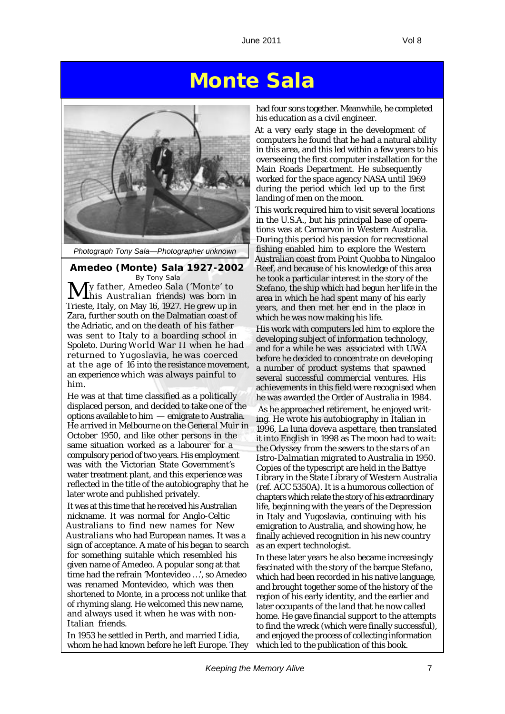### **Monte Sala**



*Photograph Tony Sala—Photographer unknown*

**Amedeo (Monte) Sala 1927-2002** *By Tony Sala* My father, Amedeo Sala ('Monte' to his Australian friends) was born in Trieste, Italy, on May 16, 1927. He grew up in Zara, further south on the Dalmatian coast of the Adriatic, and on the death of his father was sent to Italy to a boarding school in Spoleto. During World War II when he had returned to Yugoslavia, he was coerced at the age of 16 into the resistance movement, an experience which was always painful to him.

He was at that time classified as a politically displaced person, and decided to take one of the options available to him — emigrate to Australia. He arrived in Melbourne on the *General Muir* in October 1950, and like other persons in the same situation worked as a labourer for a compulsory period of two years. His employment was with the Victorian State Government's water treatment plant, and this experience was reflected in the title of the autobiography that he later wrote and published privately.

It was at this time that he received his Australian nickname. It was normal for Anglo-Celtic Australians to find new names for New Australians who had European names. It was a sign of acceptance. A mate of his began to search for something suitable which resembled his given name of Amedeo. A popular song at that time had the refrain 'Montevideo …', so Amedeo was renamed Montevideo, which was then shortened to Monte, in a process not unlike that of rhyming slang. He welcomed this new name, and always used it when he was with non-Italian friends.

In 1953 he settled in Perth, and married Lidia, whom he had known before he left Europe. They had four sons together. Meanwhile, he completed his education as a civil engineer.

At a very early stage in the development of computers he found that he had a natural ability in this area, and this led within a few years to his overseeing the first computer installation for the Main Roads Department. He subsequently worked for the space agency NASA until 1969 during the period which led up to the first landing of men on the moon.

This work required him to visit several locations in the U.S.A., but his principal base of operations was at Carnarvon in Western Australia. During this period his passion for recreational fishing enabled him to explore the Western Australian coast from Point Quobba to Ningaloo Reef, and because of his knowledge of this area he took a particular interest in the story of the *Stefano*, the ship which had begun her life in the area in which he had spent many of his early years, and then met her end in the place in which he was now making his life.

His work with computers led him to explore the developing subject of information technology, and for a while he was associated with UWA before he decided to concentrate on developing a number of product systems that spawned several successful commercial ventures. His achievements in this field were recognised when he was awarded the Order of Australia in 1984.

 As he approached retirement, he enjoyed writing. He wrote his autobiography in Italian in 1996, *La luna doveva aspettare*, then translated it into English in 1998 as *The moon had to wait: the Odyssey from the sewers to the stars of an Istro-Dalmatian migrated to Australia in 1950*. Copies of the typescript are held in the Battye Library in the State Library of Western Australia (ref. ACC 5350A). It is a humorous collection of chapters which relate the story of his extraordinary life, beginning with the years of the Depression in Italy and Yugoslavia, continuing with his emigration to Australia, and showing how, he finally achieved recognition in his new country as an expert technologist.

In these later years he also became increasingly fascinated with the story of the barque *Stefano*, which had been recorded in his native language, and brought together some of the history of the region of his early identity, and the earlier and later occupants of the land that he now called home. He gave financial support to the attempts to find the wreck (which were finally successful), and enjoyed the process of collecting information which led to the publication of this book.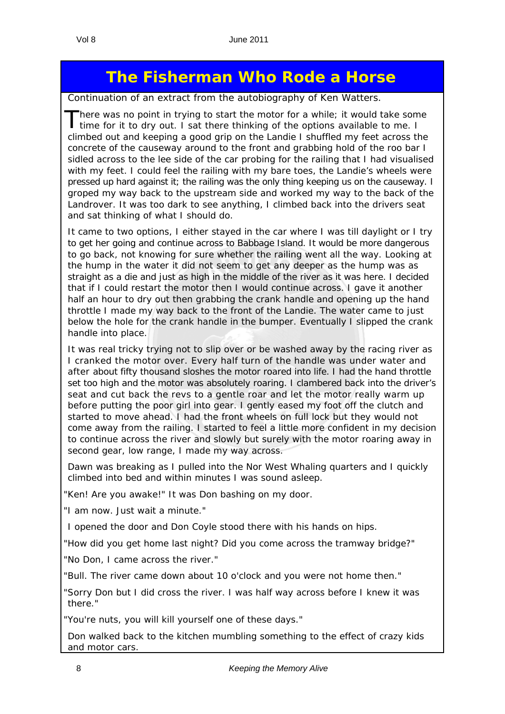#### **The Fisherman Who Rode a Horse**

*Continuation of an extract from the autobiography of Ken Watters.*

There was no point in trying to start the motor for a while; it would take some time for it to dry out. I sat there thinking of the options available to me. I climbed out and keeping a good grip on the Landie I shuffled my feet across the concrete of the causeway around to the front and grabbing hold of the roo bar I sidled across to the lee side of the car probing for the railing that I had visualised with my feet. I could feel the railing with my bare toes, the Landie's wheels were pressed up hard against it; the railing was the only thing keeping us on the causeway. I groped my way back to the upstream side and worked my way to the back of the Landrover. It was too dark to see anything, I climbed back into the drivers seat and sat thinking of what I should do.

It came to two options, I either stayed in the car where I was till daylight or I try to get her going and continue across to Babbage Island. It would be more dangerous to go back, not knowing for sure whether the railing went all the way. Looking at the hump in the water it did not seem to get any deeper as the hump was as straight as a die and just as high in the middle of the river as it was here. I decided that if I could restart the motor then I would continue across. I gave it another half an hour to dry out then grabbing the crank handle and opening up the hand throttle I made my way back to the front of the Landie. The water came to just below the hole for the crank handle in the bumper. Eventually I slipped the crank handle into place.

It was real tricky trying not to slip over or be washed away by the racing river as I cranked the motor over. Every half turn of the handle was under water and after about fifty thousand sloshes the motor roared into life. I had the hand throttle set too high and the motor was absolutely roaring. I clambered back into the driver's seat and cut back the revs to a gentle roar and let the motor really warm up before putting the poor girl into gear. I gently eased my foot off the clutch and started to move ahead. I had the front wheels on full lock but they would not come away from the railing. I started to feel a little more confident in my decision to continue across the river and slowly but surely with the motor roaring away in second gear, low range, I made my way across.

Dawn was breaking as I pulled into the Nor West Whaling quarters and I quickly climbed into bed and within minutes I was sound asleep.

"Ken! Are you awake!" It was Don bashing on my door.

"I am now. Just wait a minute."

I opened the door and Don Coyle stood there with his hands on hips.

"How did you get home last night? Did you come across the tramway bridge?"

"No Don, I came across the river."

"Bull. The river came down about 10 o'clock and you were not home then."

"Sorry Don but I did cross the river. I was half way across before I knew it was there."

"You're nuts, you will kill yourself one of these days."

Don walked back to the kitchen mumbling something to the effect of crazy kids and motor cars.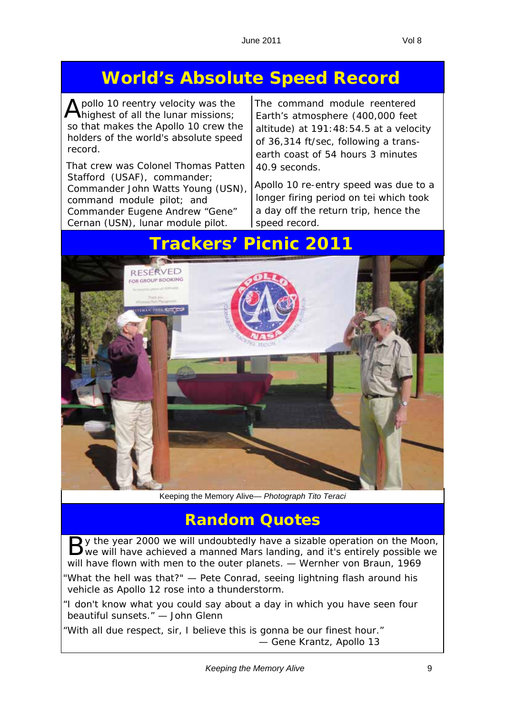## **World's Absolute Speed Record**

 $\overline{\mathbf{\Lambda}}$  pollo 10 reentry velocity was the highest of all the lunar missions; so that makes the Apollo 10 crew the holders of the world's absolute speed record.

That crew was Colonel Thomas Patten Stafford (USAF), commander; Commander John Watts Young (USN), command module pilot; and Commander Eugene Andrew "Gene" Cernan (USN), lunar module pilot.

The command module reentered Earth's atmosphere (400,000 feet altitude) at 191:48:54.5 at a velocity of 36,314 ft/sec, following a transearth coast of 54 hours 3 minutes 40.9 seconds.

Apollo 10 re-entry speed was due to a longer firing period on tei which took a day off the return trip, hence the speed record.

#### **Trackers' Picnic 2011**

**Random Quotes**

By the year 2000 we will undoubtedly have a sizable operation on the Moon, by we will have achieved a manned Mars landing, and it's entirely possible we *will have flown with men to the outer planets.* — Wernher von Braun, 1969

"*What the hell was that?*" — Pete Conrad, seeing lightning flash around his vehicle as Apollo 12 rose into a thunderstorm.

"*I don't know what you could say about a day in which you have seen four beautiful sunsets.*" — John Glenn

"*With all due respect, sir, I believe this is gonna be our finest hour.*" — Gene Krantz, Apollo 13

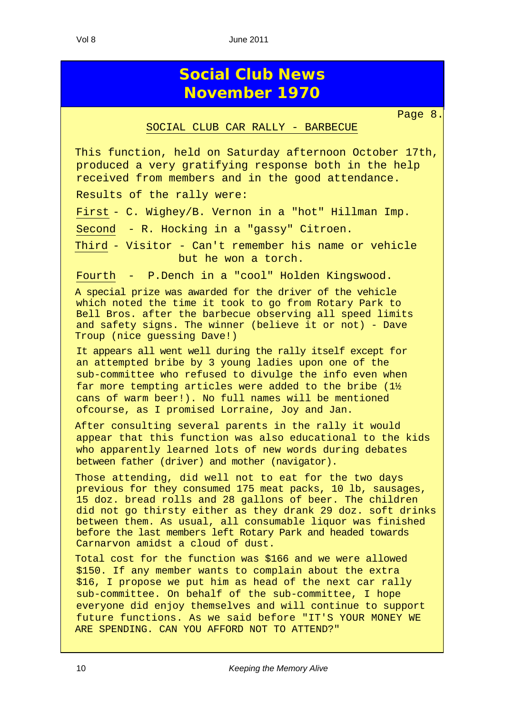Vol 8 June 2011

#### **Social Club News November 1970**

#### SOCIAL CLUB CAR RALLY - BARBECUE

Page 8.

This function, held on Saturday afternoon October 17th, produced a very gratifying response both in the help received from members and in the good attendance.

Results of the rally were:

First - C. Wighey/B. Vernon in a "hot" Hillman Imp.

Second - R. Hocking in a "gassy" Citroen.

Third - Visitor - Can't remember his name or vehicle but he won a torch.

Fourth - P.Dench in a "cool" Holden Kingswood.

A special prize was awarded for the driver of the vehicle which noted the time it took to go from Rotary Park to Bell Bros. after the barbecue observing all speed limits and safety signs. The winner (believe it or not) - Dave Troup (nice guessing Dave!)

It appears all went well during the rally itself except for an attempted bribe by 3 young ladies upon one of the sub-committee who refused to divulge the info even when far more tempting articles were added to the bribe  $(1\frac{1}{2})$ cans of warm beer!). No full names will be mentioned ofcourse, as I promised Lorraine, Joy and Jan.

After consulting several parents in the rally it would appear that this function was also educational to the kids who apparently learned lots of new words during debates between father (driver) and mother (navigator).

Those attending, did well not to eat for the two days previous for they consumed 175 meat packs, 10 lb, sausages, 15 doz. bread rolls and 28 gallons of beer. The children did not go thirsty either as they drank 29 doz. soft drinks between them. As usual, all consumable liquor was finished before the last members left Rotary Park and headed towards Carnarvon amidst a cloud of dust.

Total cost for the function was \$166 and we were allowed \$150. If any member wants to complain about the extra \$16, I propose we put him as head of the next car rally sub-committee. On behalf of the sub-committee, I hope everyone did enjoy themselves and will continue to support future functions. As we said before "IT'S YOUR MONEY WE ARE SPENDING. CAN YOU AFFORD NOT TO ATTEND?"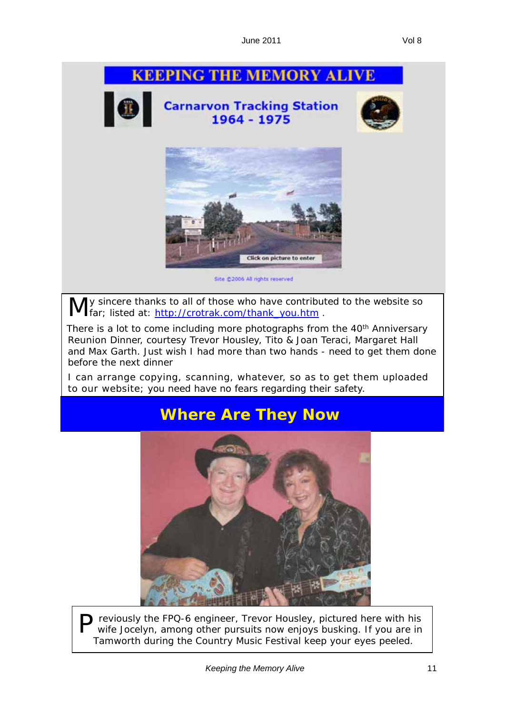# **KEEPING THE MEMORY ALIVE Carnarvon Tracking Station** 1964 - 1975 Click on picture to enter Site @2006 All rights reserved

ly sincere thanks to all of those who have contributed to the website so **far**; listed at: http://crotrak.com/thank\_you.htm .

There is a lot to come including more photographs from the 40<sup>th</sup> Anniversary Reunion Dinner, courtesy Trevor Housley, Tito & Joan Teraci, Margaret Hall and Max Garth. Just wish I had more than two hands - need to get them done before the next dinner

I can arrange copying, scanning, whatever, so as to get them uploaded to our website; you need have no fears regarding their safety.

#### **Where Are They Now**



P reviously the FPQ-6 engineer, Trevor Housley, pictured here with his wife Jocelyn, among other pursuits now enjoys busking. If you are in Tamworth during the Country Music Festival keep your eyes peeled.